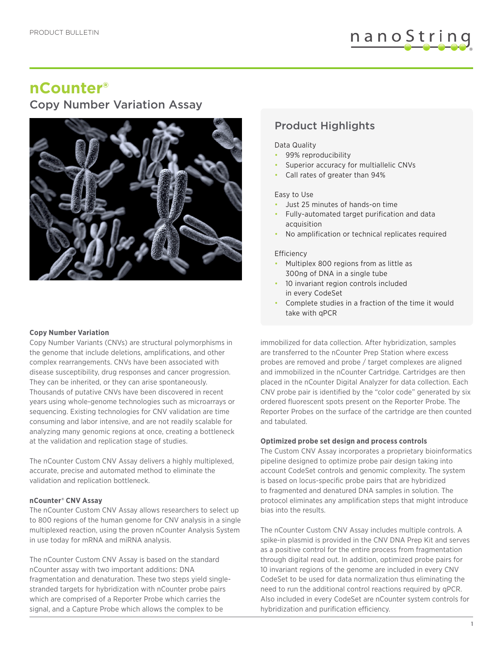# nanoString

## **nCounter®**

## Copy Number Variation Assay



### **Copy Number Variation**

Copy Number Variants (CNVs) are structural polymorphisms in the genome that include deletions, amplifications, and other complex rearrangements. CNVs have been associated with disease susceptibility, drug responses and cancer progression. They can be inherited, or they can arise spontaneously. Thousands of putative CNVs have been discovered in recent years using whole-genome technologies such as microarrays or sequencing. Existing technologies for CNV validation are time consuming and labor intensive, and are not readily scalable for analyzing many genomic regions at once, creating a bottleneck at the validation and replication stage of studies.

The nCounter Custom CNV Assay delivers a highly multiplexed, accurate, precise and automated method to eliminate the validation and replication bottleneck.

#### **nCounter® CNV Assay**

The nCounter Custom CNV Assay allows researchers to select up to 800 regions of the human genome for CNV analysis in a single multiplexed reaction, using the proven nCounter Analysis System in use today for mRNA and miRNA analysis.

The nCounter Custom CNV Assay is based on the standard nCounter assay with two important additions: DNA fragmentation and denaturation. These two steps yield singlestranded targets for hybridization with nCounter probe pairs which are comprised of a Reporter Probe which carries the signal, and a Capture Probe which allows the complex to be

### Product Highlights

#### Data Quality

- 99% reproducibility
- Superior accuracy for multiallelic CNVs
- Call rates of greater than 94%

#### Easy to Use

- Just 25 minutes of hands-on time
- Fully-automated target purification and data acquisition
- No amplification or technical replicates required

#### Efficiency

- Multiplex 800 regions from as little as 300ng of DNA in a single tube
- 10 invariant region controls included in every CodeSet
- Complete studies in a fraction of the time it would take with qPCR

immobilized for data collection. After hybridization, samples are transferred to the nCounter Prep Station where excess probes are removed and probe / target complexes are aligned and immobilized in the nCounter Cartridge. Cartridges are then placed in the nCounter Digital Analyzer for data collection. Each CNV probe pair is identified by the "color code" generated by six ordered fluorescent spots present on the Reporter Probe. The Reporter Probes on the surface of the cartridge are then counted and tabulated.

#### **Optimized probe set design and process controls**

The Custom CNV Assay incorporates a proprietary bioinformatics pipeline designed to optimize probe pair design taking into account CodeSet controls and genomic complexity. The system is based on locus-specific probe pairs that are hybridized to fragmented and denatured DNA samples in solution. The protocol eliminates any amplification steps that might introduce bias into the results.

The nCounter Custom CNV Assay includes multiple controls. A spike-in plasmid is provided in the CNV DNA Prep Kit and serves as a positive control for the entire process from fragmentation through digital read out. In addition, optimized probe pairs for 10 invariant regions of the genome are included in every CNV CodeSet to be used for data normalization thus eliminating the need to run the additional control reactions required by qPCR. Also included in every CodeSet are nCounter system controls for hybridization and purification efficiency.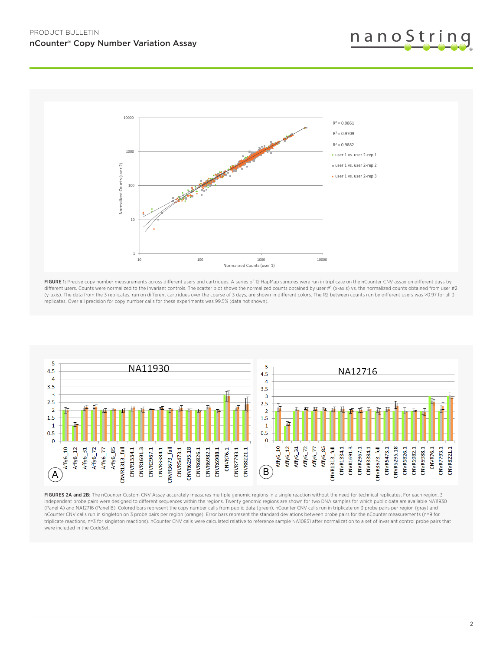



FIGURE 1: Precise copy number measurements across different users and cartridges. A series of 12 HapMap samples were run in triplicate on the nCounter CNV assay on different days by different users. Counts were normalized to the invariant controls. The scatter plot shows the normalized counts obtained by user #1 (x-axis) vs. the normalized counts obtained from user #2 (y-axis). The data from the 3 replicates, run on different cartridges over the course of 3 days, are shown in different colors. The R2 between counts run by different users was >0.97 for all 3 replicates. Over all precision for copy number calls for these experiments was 99.5% (data not shown).



FIGURES 2A and 2B: The nCounter Custom CNV Assay accurately measures multiple genomic regions in a single reaction without the need for technical replicates. For each region, 3 independent probe pairs were designed to different sequences within the regions. Twenty genomic regions are shown for two DNA samples for which public data are available NA11930 (Panel A) and NA12716 (Panel B). Colored bars represent the copy number calls from public data (green), nCounter CNV calls run in triplicate on 3 probe pairs per region (gray) and nCounter CNV calls run in singleton on 3 probe pairs per region (orange). Error bars represent the standard deviations between probe pairs for the nCounter measurements (n=9 for triplicate reactions, n=3 for singleton reactions). nCounter CNV calls were calculated relative to reference sample NA10851 after normalization to a set of invariant control probe pairs that were included in the CodeSet.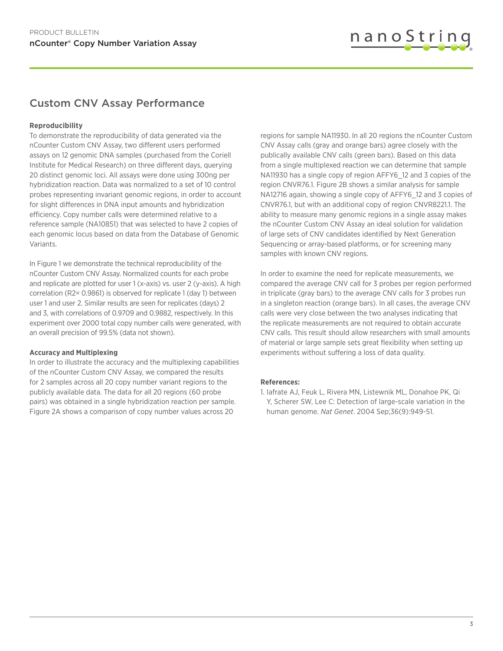

### Custom CNV Assay Performance

### **Reproducibility**

To demonstrate the reproducibility of data generated via the nCounter Custom CNV Assay, two different users performed assays on 12 genomic DNA samples (purchased from the Coriell Institute for Medical Research) on three different days, querying 20 distinct genomic loci. All assays were done using 300ng per hybridization reaction. Data was normalized to a set of 10 control probes representing invariant genomic regions, in order to account for slight differences in DNA input amounts and hybridization efficiency. Copy number calls were determined relative to a reference sample (NA10851) that was selected to have 2 copies of each genomic locus based on data from the Database of Genomic Variants.

In Figure 1 we demonstrate the technical reproducibility of the nCounter Custom CNV Assay. Normalized counts for each probe and replicate are plotted for user 1 (x-axis) vs. user 2 (y-axis). A high correlation (R2= 0.9861) is observed for replicate 1 (day 1) between user 1 and user 2. Similar results are seen for replicates (days) 2 and 3, with correlations of 0.9709 and 0.9882, respectively. In this experiment over 2000 total copy number calls were generated, with an overall precision of 99.5% (data not shown).

#### **Accuracy and Multiplexing**

In order to illustrate the accuracy and the multiplexing capabilities of the nCounter Custom CNV Assay, we compared the results for 2 samples across all 20 copy number variant regions to the publicly available data. The data for all 20 regions (60 probe pairs) was obtained in a single hybridization reaction per sample. Figure 2A shows a comparison of copy number values across 20

regions for sample NA11930. In all 20 regions the nCounter Custom CNV Assay calls (gray and orange bars) agree closely with the publically available CNV calls (green bars). Based on this data from a single multiplexed reaction we can determine that sample NA11930 has a single copy of region AFFY6\_12 and 3 copies of the region CNVR76.1. Figure 2B shows a similar analysis for sample NA12716 again, showing a single copy of AFFY6\_12 and 3 copies of CNVR76.1, but with an additional copy of region CNVR8221.1. The ability to measure many genomic regions in a single assay makes the nCounter Custom CNV Assay an ideal solution for validation of large sets of CNV candidates identified by Next Generation Sequencing or array-based platforms, or for screening many samples with known CNV regions.

In order to examine the need for replicate measurements, we compared the average CNV call for 3 probes per region performed in triplicate (gray bars) to the average CNV calls for 3 probes run in a singleton reaction (orange bars). In all cases, the average CNV calls were very close between the two analyses indicating that the replicate measurements are not required to obtain accurate CNV calls. This result should allow researchers with small amounts of material or large sample sets great flexibility when setting up experiments without suffering a loss of data quality.

#### **References:**

1. Iafrate AJ, Feuk L, Rivera MN, Listewnik ML, Donahoe PK, Qi Y, Scherer SW, Lee C: Detection of large-scale variation in the human genome. *Nat Genet*. 2004 Sep;36(9):949-51.